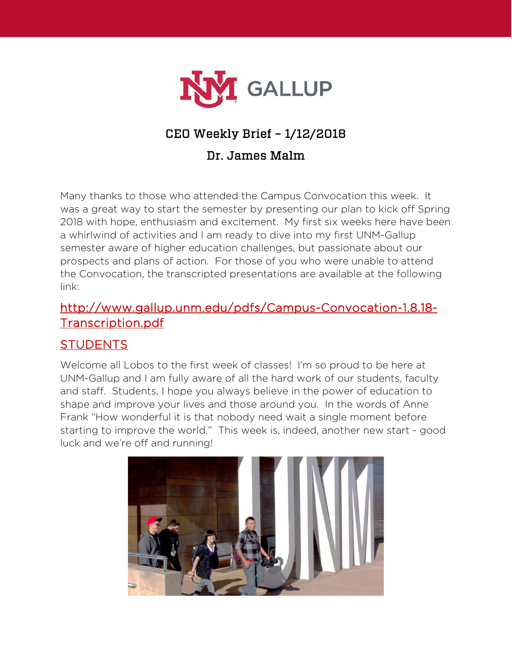

# CEO Weekly Brief – 1/12/2018

## Dr. James Malm

Many thanks to those who attended the Campus Convocation this week. It was a great way to start the semester by presenting our plan to kick off Spring 2018 with hope, enthusiasm and excitement. My first six weeks here have been a whirlwind of activities and I am ready to dive into my first UNM-Gallup semester aware of higher education challenges, but passionate about our prospects and plans of action. For those of you who were unable to attend the Convocation, the transcripted presentations are available at the following link:

### http://www.gallup.unm.edu/pdfs/Campus-Convocation-1.8.18- Transcription.pdf

#### **STUDENTS**

Welcome all Lobos to the first week of classes! I'm so proud to be here at UNM-Gallup and I am fully aware of all the hard work of our students, faculty and staff. Students, I hope you always believe in the power of education to shape and improve your lives and those around you. In the words of Anne Frank "How wonderful it is that nobody need wait a single moment before starting to improve the world." This week is, indeed, another new start - good luck and we're off and running!

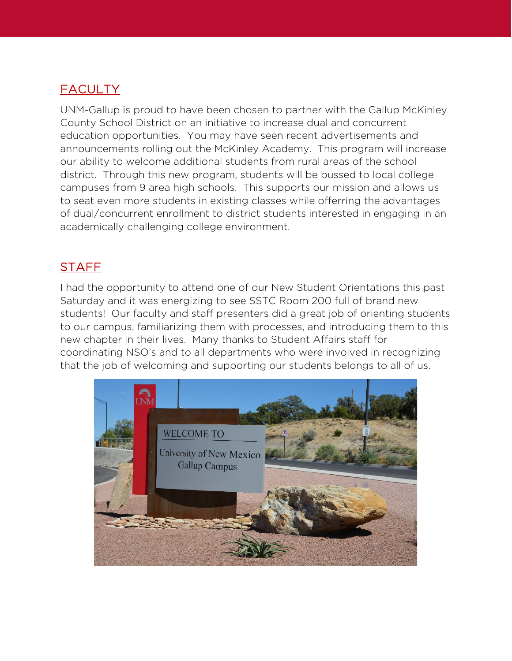## **FACULTY**

UNM-Gallup is proud to have been chosen to partner with the Gallup McKinley County School District on an initiative to increase dual and concurrent education opportunities. You may have seen recent advertisements and announcements rolling out the McKinley Academy. This program will increase our ability to welcome additional students from rural areas of the school district. Through this new program, students will be bussed to local college campuses from 9 area high schools. This supports our mission and allows us to seat even more students in existing classes while offerring the advantages of dual/concurrent enrollment to district students interested in engaging in an academically challenging college environment.

## **STAFF**

I had the opportunity to attend one of our New Student Orientations this past Saturday and it was energizing to see SSTC Room 200 full of brand new students! Our faculty and staff presenters did a great job of orienting students to our campus, familiarizing them with processes, and introducing them to this new chapter in their lives. Many thanks to Student Affairs staff for coordinating NSO's and to all departments who were involved in recognizing that the job of welcoming and supporting our students belongs to all of us.

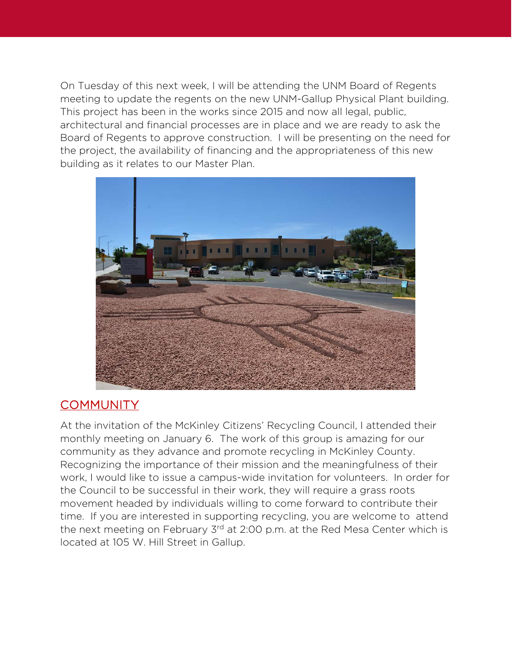On Tuesday of this next week, I will be attending the UNM Board of Regents meeting to update the regents on the new UNM-Gallup Physical Plant building. This project has been in the works since 2015 and now all legal, public, architectural and financial processes are in place and we are ready to ask the Board of Regents to approve construction. I will be presenting on the need for the project, the availability of financing and the appropriateness of this new building as it relates to our Master Plan.



#### **COMMUNITY**

At the invitation of the McKinley Citizens' Recycling Council, I attended their monthly meeting on January 6. The work of this group is amazing for our community as they advance and promote recycling in McKinley County. Recognizing the importance of their mission and the meaningfulness of their work, I would like to issue a campus-wide invitation for volunteers. In order for the Council to be successful in their work, they will require a grass roots movement headed by individuals willing to come forward to contribute their time. If you are interested in supporting recycling, you are welcome to attend the next meeting on February 3rd at 2:00 p.m. at the Red Mesa Center which is located at 105 W. Hill Street in Gallup.